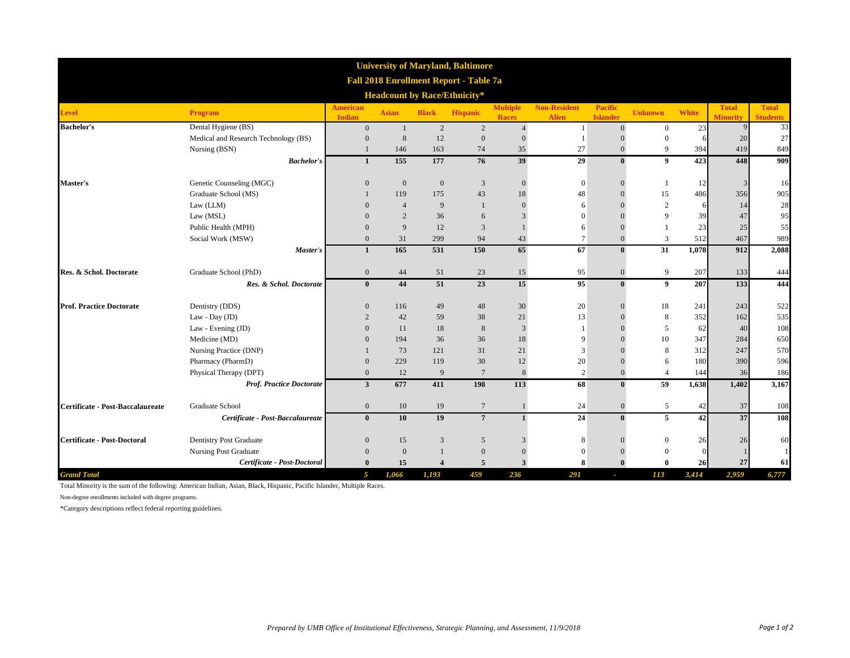| <b>University of Maryland, Baltimore</b><br><b>Fall 2018 Enrollment Report - Table 7a</b><br><b>Headcount by Race/Ethnicity*</b> |                                      |                |                |                |                 |                |                 |                  |                  |       |       |              |
|----------------------------------------------------------------------------------------------------------------------------------|--------------------------------------|----------------|----------------|----------------|-----------------|----------------|-----------------|------------------|------------------|-------|-------|--------------|
|                                                                                                                                  |                                      |                |                |                |                 |                |                 |                  |                  |       |       | <b>Level</b> |
| <b>Bachelor's</b>                                                                                                                | Dental Hygiene (BS)                  | $\overline{0}$ | $\mathbf{1}$   | 2              | $\overline{2}$  | $\overline{4}$ | $\mathbf{1}$    | $\mathbf{0}$     | $\boldsymbol{0}$ | 23    |       | 33           |
|                                                                                                                                  | Medical and Research Technology (BS) | $\theta$       | 8              | 12             | $\mathbf{0}$    | $\overline{0}$ |                 |                  | $\mathbf{0}$     |       | 20    | 27           |
|                                                                                                                                  | Nursing (BSN)                        |                | 146            | 163            | 74              | 35             | 27              | $\mathbf{0}$     | 9                | 394   | 419   | 849          |
|                                                                                                                                  | <b>Bachelor's</b>                    | $\mathbf{1}$   | 155            | 177            | 76              | 39             | 29              | $\mathbf{0}$     | 9                | 423   | 448   | 909          |
| <b>Master's</b>                                                                                                                  | Genetic Counseling (MGC)             | $\overline{0}$ | $\mathbf{0}$   | $\mathbf{0}$   | 3               | $\overline{0}$ | $\mathbf{0}$    |                  | 1                | 12    |       | 16           |
|                                                                                                                                  | Graduate School (MS)                 |                | 119            | 175            | 43              | 18             | 48              |                  | 15               | 486   | 356   | 905          |
|                                                                                                                                  | Law (LLM)                            | $\Omega$       | $\overline{4}$ | 9              | $\mathbf{1}$    | $\Omega$       | 6               |                  | $\overline{c}$   |       | 14    | 28           |
|                                                                                                                                  | Law (MSL)                            | $\Omega$       | 2              | 36             | 6               |                | $\Omega$        |                  | 9                | 39    | 47    | 95           |
|                                                                                                                                  | Public Health (MPH)                  | $\Omega$       | 9              | 12             | 3               |                | 6               | $\Omega$         | -1               | 23    | 25    | 55           |
|                                                                                                                                  | Social Work (MSW)                    | $\Omega$       | 31             | 299            | 94              | 43             | $\tau$          | $\mathbf{0}$     | 3                | 512   | 467   | 989          |
|                                                                                                                                  | Master's                             | $\mathbf{1}$   | 165            | 531            | 150             | 65             | 67              | $\mathbf{0}$     | 31               | 1,078 | 912   | 2,088        |
| Res. & Schol. Doctorate                                                                                                          | Graduate School (PhD)                | $\mathbf{0}$   | 44             | 51             | 23              | 15             | 95              | $\boldsymbol{0}$ | 9                | 207   | 133   | 444          |
|                                                                                                                                  | Res. & Schol. Doctorate              | $\mathbf{0}$   | 44             | 51             | 23              | 15             | $\overline{95}$ | $\mathbf{0}$     | 9                | 207   | 133   | 444          |
| <b>Prof. Practice Doctorate</b>                                                                                                  | Dentistry (DDS)                      | $\mathbf{0}$   | 116            | 49             | 48              | 30             | 20              |                  | 18               | 241   | 243   | 522          |
|                                                                                                                                  | Law - Day (JD)                       | $\overline{2}$ | 42             | 59             | 38              | 21             | 13              |                  | 8                | 352   | 162   | 535          |
|                                                                                                                                  | Law - Evening (JD)                   | $\theta$       | 11             | 18             | 8               | $\overline{3}$ |                 |                  | 5                | 62    | 40    | 108          |
|                                                                                                                                  | Medicine (MD)                        | $\Omega$       | 194            | 36             | 36              | 18             | 9               |                  | 10               | 347   | 284   | 650          |
|                                                                                                                                  | Nursing Practice (DNP)               |                | 73             | 121            | 31              | 21             | 3               |                  | 8                | 312   | 247   | 570          |
|                                                                                                                                  | Pharmacy (PharmD)                    | $\theta$       | 229            | 119            | 30              | 12             | 20              | $\theta$         | 6                | 180   | 390   | 596          |
|                                                                                                                                  | Physical Therapy (DPT)               | $\mathbf{0}$   | 12             | 9              | $7\phantom{.0}$ | $\,8\,$        | $\overline{2}$  | $\mathbf{0}$     | $\overline{4}$   | 144   | 36    | 186          |
|                                                                                                                                  | <b>Prof. Practice Doctorate</b>      | $\mathbf{3}$   | 677            | 411            | 198             | 113            | 68              | $\mathbf{0}$     | 59               | 1,638 | 1,402 | 3,167        |
| Certificate - Post-Baccalaureate                                                                                                 | Graduate School                      | $\overline{0}$ | 10             | 19             | $7\phantom{.0}$ |                | 24              | $\mathbf{0}$     | 5                | 42    | 37    | 108          |
|                                                                                                                                  | Certificate - Post-Baccalaureate     | $\bf{0}$       | 10             | 19             | $7\overline{ }$ | $\mathbf{1}$   | 24              | $\mathbf{0}$     | 5                | 42    | 37    | 108          |
| <b>Certificate - Post-Doctoral</b>                                                                                               | Dentistry Post Graduate              | $\Omega$       | 15             | 3              | 5               |                |                 |                  | $\theta$         | 26    | 26    | 60           |
|                                                                                                                                  | <b>Nursing Post Graduate</b>         | $\Omega$       | $\overline{0}$ | $\mathbf{1}$   | $\mathbf{0}$    | $\overline{0}$ | $\Omega$        |                  | $\mathbf{0}$     |       |       |              |
|                                                                                                                                  | Certificate - Post-Doctoral          | $\mathbf{0}$   | 15             | $\overline{4}$ | 5               | 3              | 8               |                  | $\mathbf{0}$     | 26    | 27    | 61           |
| <b>Grand Total</b>                                                                                                               |                                      | $\overline{5}$ | 1,066          | 1,193          | 459             | 236            | 291             | $\sim$           | 113              | 3,414 | 2,959 | 6,777        |

Total Minority is the sum of the following: American Indian, Asian, Black, Hispanic, Pacific Islander, Multiple Races.

Non-degree enrollments included with degree programs.

\*Category descriptions reflect federal reporting guidelines.